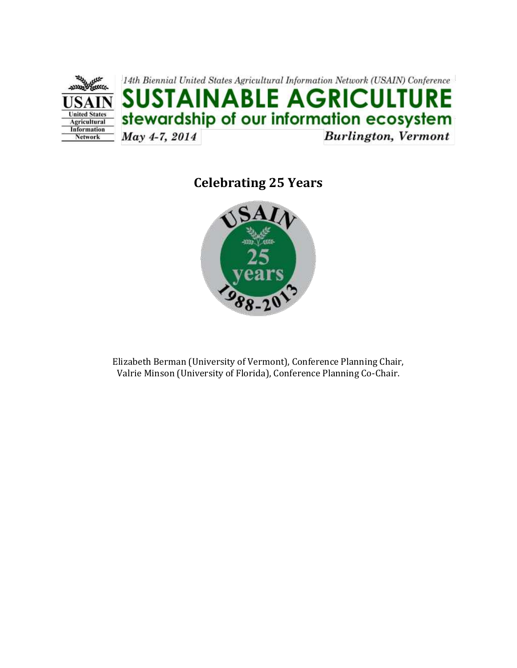

# **Celebrating 25 Years**



Elizabeth Berman (University of Vermont), Conference Planning Chair, Valrie Minson (University of Florida), Conference Planning Co-Chair.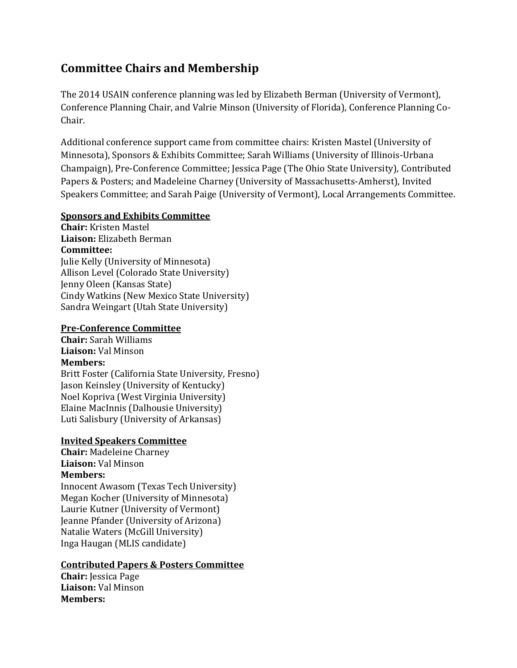## **Committee Chairs and Membership**

The 2014 USAIN conference planning was led by Elizabeth Berman (University of Vermont), Conference Planning Chair, and Valrie Minson (University of Florida), Conference Planning Co-Chair.

Additional conference support came from committee chairs: Kristen Mastel (University of Minnesota), Sponsors & Exhibits Committee; Sarah Williams (University of Illinois-Urbana Champaign), Pre-Conference Committee; Jessica Page (The Ohio State University), Contributed Papers & Posters; and Madeleine Charney (University of Massachusetts-Amherst), Invited Speakers Committee; and Sarah Paige (University of Vermont), Local Arrangements Committee.

#### **Sponsors and Exhibits Committee**

**Chair:** Kristen Mastel **Liaison:** Elizabeth Berman **Committee:**  Julie Kelly (University of Minnesota) Allison Level (Colorado State University) Jenny Oleen (Kansas State) Cindy Watkins (New Mexico State University) Sandra Weingart (Utah State University)

#### **Pre-Conference Committee**

**Chair:** Sarah Williams **Liaison:** Val Minson **Members:** Britt Foster (California State University, Fresno) Jason Keinsley (University of Kentucky) Noel Kopriva (West Virginia University) Elaine MacInnis (Dalhousie University) Luti Salisbury (University of Arkansas)

#### **Invited Speakers Committee**

**Chair:** Madeleine Charney **Liaison:** Val Minson **Members:**

Innocent Awasom (Texas Tech University) Megan Kocher (University of Minnesota) Laurie Kutner (University of Vermont) Jeanne Pfander (University of Arizona) Natalie Waters (McGill University) Inga Haugan (MLIS candidate)

#### **Contributed Papers & Posters Committee**

**Chair:** Jessica Page **Liaison:** Val Minson **Members:**